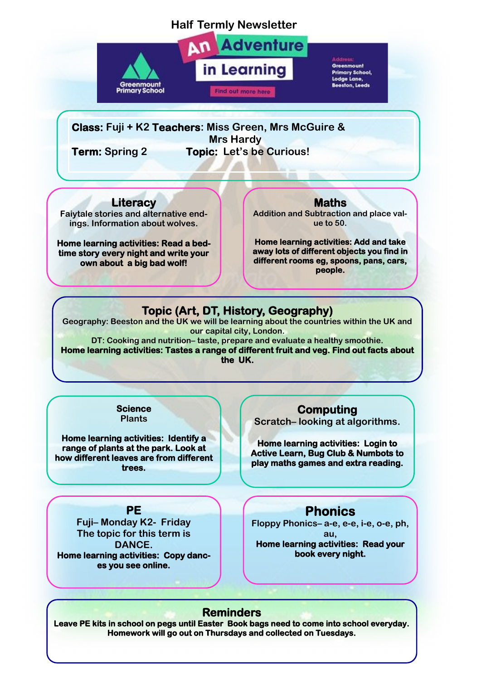### **Half Termly Newsletter**



**Adventure** in Learning Find out more here

Greenmount Primary School, Lodge Lane, **Beeston, Leeds** 

**Class: Fuji + K2 Teachers: Miss Green, Mrs McGuire & Mrs Hardy Term: Spring 2 Topic: Let's be Curious!**

**Literacy**

**Faiytale stories and alternative endings. Information about wolves.** 

**Home learning activities: Read a bedtime story every night and write your own about a big bad wolf!** 

**Maths** 

**Addition and Subtraction and place value to 50.** 

**Home learning activities: Add and take away lots of different objects you find in different rooms eg, spoons, pans, cars, people.** 

# **Topic (Art, DT, History, Geography)**

**Geography: Beeston and the UK we will be learning about the countries within the UK and our capital city, London.** 

**DT: Cooking and nutrition– taste, prepare and evaluate a healthy smoothie. Home learning activities: Tastes a range of different fruit and veg. Find out facts about the UK.** 

> **Science Plants**

**Home learning activities: Identify a range of plants at the park. Look at how different leaves are from different trees.** 

#### **PE**

**Fuji– Monday K2- Friday The topic for this term is DANCE. Home learning activities: Copy dances you see online.** 

**Computing** 

**Scratch– looking at algorithms.** 

**Home learning activities: Login to Active Learn, Bug Club & Numbots to play maths games and extra reading.** 

## **Phonics**

**Floppy Phonics– a-e, e-e, i-e, o-e, ph, au,** 

**Home learning activities: Read your book every night.** 

#### **Reminders**

**Leave PE kits in school on pegs until Easter Book bags need to come into school everyday. Homework will go out on Thursdays and collected on Tuesdays.**